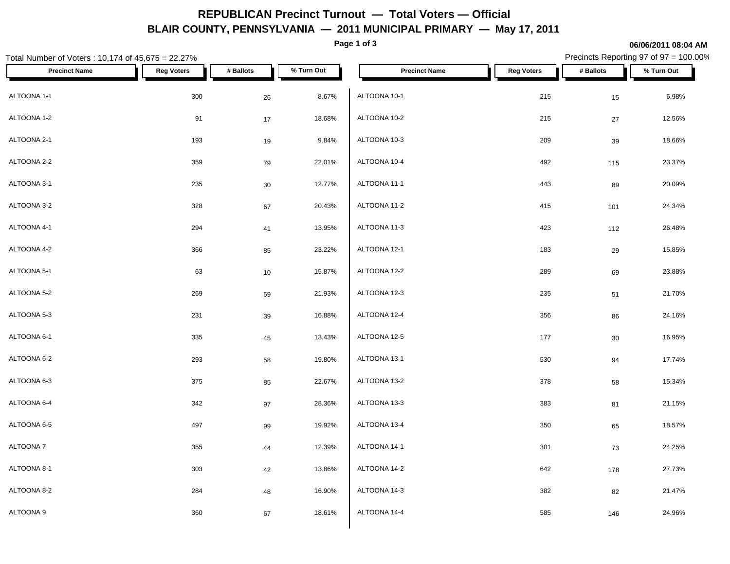## **REPUBLICAN Precinct Turnout — Total Voters — Official BLAIR COUNTY, PENNSYLVANIA — 2011 MUNICIPAL PRIMARY — May 17, 2011**

**Page 1 of 3**

**06/06/2011 08:04 AM**

#### Total Number of Voters : 10,174 of 45,675 = 22.27% Precincts Reporting 97 of 97 = 100.00% **Precinct Name Reg Voters # Ballots % Turn Out Precinct Name Reg Voters # Ballots % Turn Out** ALTOONA 1-1  $\begin{array}{cccc} 300 & 26 & 8.67\% \end{array}$  ALTOONA 10-1 ALTOONA 1-2 91 17 18.68%  $\textsf{ALTOONA 10-3} \quad \textcolor{red}{\mathsf{193}} \quad \textcolor{red}{\mathsf{193}} \quad \textcolor{red}{\mathsf{198}} \quad \textcolor{red}{\mathsf{9.84\%}} \quad \textcolor{red}{\mathsf{19.4TOONA 10-3}}$ ALTOONA 2-2 359 79 22.01% ALTOONA 3-1 235 30 12.77% ALTOONA 3-2  $328$   $67$   $20.43\%$   $ALTOONA$  11-2 ALTOONA 4-1 294 41 13.95% ALTOONA 4-2 366 85 23.22% ALTOONA 5-1 63 10 15.87% ALTOONA 5-2 269 59 21.93% ALTOONA 5-3 231 39 16.88% ALTOONA 6-1 335 45 13.43% ALTOONA 6-2 293 58 19.80% ALTOONA 6-3 375 85 22.67% ALTOONA 6-4 342 97 28.36% ALTOONA 6-5 497 99 19.92% ALTOONA 7 355 44 12.39%  $\textsf{ALTOONA 8-1} \quad \text{\color{red} 13.86\%} \quad \text{\color{red} 13.86\%} \quad \text{\color{red} 14.170ONA 14-2}$ ALTOONA 8-2 284 48 16.90% ALTOONA 9 360 67 18.61%  $ALTOONA$  10-1 215 15 6.98% ALTOONA 10-2 215 27 12.56% ALTOONA 10-3 209 39 18.66% ALTOONA 10-4 492 115 23.37%  $ALTOONA$  11-1  $1.443$   $89$   $20.09\%$ ALTOONA 11-2 415 101 24.34% ALTOONA 11-3 26.48% ALTOONA 12-1 183 29 15.85% ALTOONA 12-2 289 69 23.88% ALTOONA 12-3 235 51 21.70%  $\rm ALTOONA\ 12-4$   $\rm 356$   $\rm 86$   $\rm 24.16\%$ ALTOONA 12-5 177 177 18.95% 16.95% 16.95% 16.95% 16.95% 16.95% 16.95% 16.95% 16.95% 16.95% 16.95% 16.95% 16.95% 16.95% 16.95% 16.95% 16.95% 16.95% 16.95% 16.95% 16.95% 16.95% 16.95% 16.95% 16.95% 16.95% 16.95% 16.95% 16. ALTOONA 13-1 530 94 17.74% ALTOONA 13-2 378 58 15.34% ALTOONA 13-3 383 81 21.15%  $\rm ALTOON$ A 13-4  $\rm 350$   $\rm 65$  18.57% ALTOONA 14-1 301 73 24.25% ALTOONA 14-2 642 178 27.73%  $\rm ALTOONA\;14\cdot3 \;$   $\rm 382 \;$   $\rm 82 \;$   $\rm 21.47\%$ ALTOONA 14-4 66 24.96% 685 146 24.96%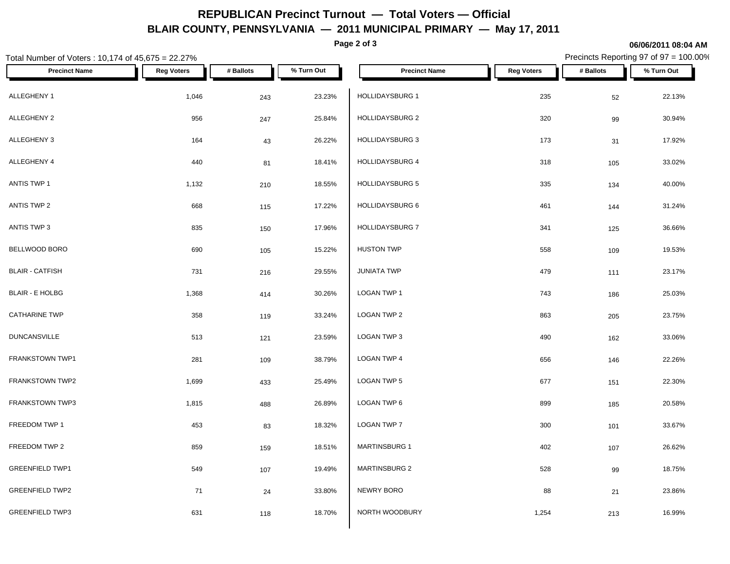## **REPUBLICAN Precinct Turnout — Total Voters — Official BLAIR COUNTY, PENNSYLVANIA — 2011 MUNICIPAL PRIMARY — May 17, 2011**

**Page 2 of 3**

# Total Number of Voters : 10,174 of 45,675 = 22.27% Precincts Reporting 97 of 97 = 100.00% **Precinct Name Reg Voters # Ballots % Turn Out Precinct Name Reg Voters # Ballots % Turn Out** ALLEGHENY 1 1,046 243 23.23% HOLLIDAYSBURG 1 235 22.13% ALLEGHENY 2 956 247 25.84% | HOLLIDAYSBURG 2 320 30.94% ALLEGHENY 3 164 43 26.22% | HOLLIDAYSBURG 3 173 31 17.92% ALLEGHENY 4 440 81 18.41% | HOLLIDAYSBURG 4 318 33.02% ANTIS TWP 1 1,132 210 18.55% HOLLIDAYSBURG 5 335 134 40.00% ANTIS TWP 2 668 115 17.22% | HOLLIDAYSBURG 6 461 144 31.24% ANTIS TWP 3 835 150 17.96% HOLLIDAYSBURG 7 341 125 36.66% BELLWOOD BORO 690 105 15.22% BLAIR - CATFISH 731 216 29.55% BLAIR - E HOLBG 1,368 414 30.26% CATHARINE TWP 358 119 33.24% DUNCANSVILLE 513 121 23.59% FRANKSTOWN TWP1 281 281 109 38 79% LOGAN TWP 4  $H$ USTON TWP 19.53% and the set of the set of the set of the set of the set of the set of the set of the set of the set of the set of the set of the set of the set of the set of the set of the set of the set of the set of  $JUNIATA$  TWP  $479$   $111$   $23.17\%$ LOGAN TWP 1 743 186 25.03%  $\textsf{\small LOGAN\,TWP\,2}\qquad \qquad 205\qquad \qquad 23.75\%$ LOGAN TWP 3 490 162 33.06%  $\,$  LOGAN TWP 4  $\,$  656  $\,$  146  $\,$  22.26%  $\,$

|                        | 201   | פטו | <b>JU.1570</b> |                      | ບບບ   | 140 | <b>22.2070</b> |
|------------------------|-------|-----|----------------|----------------------|-------|-----|----------------|
| <b>FRANKSTOWN TWP2</b> | 1,699 | 433 | 25.49%         | LOGAN TWP 5          | 677   | 151 | 22.30%         |
| <b>FRANKSTOWN TWP3</b> | 1,815 | 488 | 26.89%         | LOGAN TWP 6          | 899   | 185 | 20.58%         |
| FREEDOM TWP 1          | 453   | 83  | 18.32%         | <b>LOGAN TWP 7</b>   | 300   | 101 | 33.67%         |
| FREEDOM TWP 2          | 859   | 159 | 18.51%         | <b>MARTINSBURG 1</b> | 402   | 107 | 26.62%         |
| <b>GREENFIELD TWP1</b> | 549   | 107 | 19.49%         | <b>MARTINSBURG 2</b> | 528   | 99  | 18.75%         |
| <b>GREENFIELD TWP2</b> | 71    | 24  | 33.80%         | NEWRY BORO           | 88    | 21  | 23.86%         |
| <b>GREENFIELD TWP3</b> | 631   | 118 | 18.70%         | NORTH WOODBURY       | 1,254 | 213 | 16.99%         |

**06/06/2011 08:04 AM**